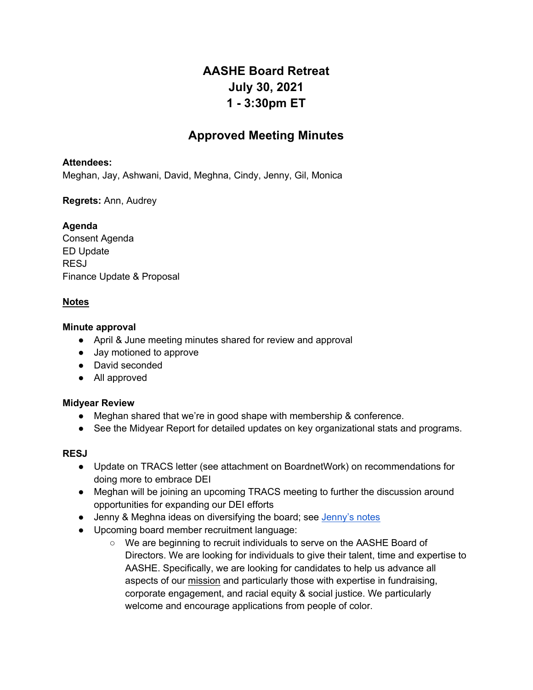# **AASHE Board Retreat July 30, 2021 1 - 3:30pm ET**

# **Approved Meeting Minutes**

#### **Attendees:**

Meghan, Jay, Ashwani, David, Meghna, Cindy, Jenny, Gil, Monica

**Regrets:** Ann, Audrey

## **Agenda**

Consent Agenda ED Update RESJ Finance Update & Proposal

# **Notes**

#### **Minute approval**

- April & June meeting minutes shared for review and approval
- Jay motioned to approve
- David seconded
- All approved

#### **Midyear Review**

- Meghan shared that we're in good shape with membership & conference.
- See the Midyear Report for detailed updates on key organizational stats and programs.

#### **RESJ**

- Update on TRACS letter (see attachment on BoardnetWork) on recommendations for doing more to embrace DEI
- Meghan will be joining an upcoming TRACS meeting to further the discussion around opportunities for expanding our DEI efforts
- Jenny & Meghna ideas on diversifying the board; see Jenny's notes
- Upcoming board member recruitment language:
	- We are beginning to recruit individuals to serve on the AASHE Board of Directors. We are looking for individuals to give their talent, time and expertise to AASHE. Specifically, we are looking for candidates to help us advance all aspects of our mission and particularly those with expertise in fundraising, corporate engagement, and racial equity & social justice. We particularly welcome and encourage applications from people of color.